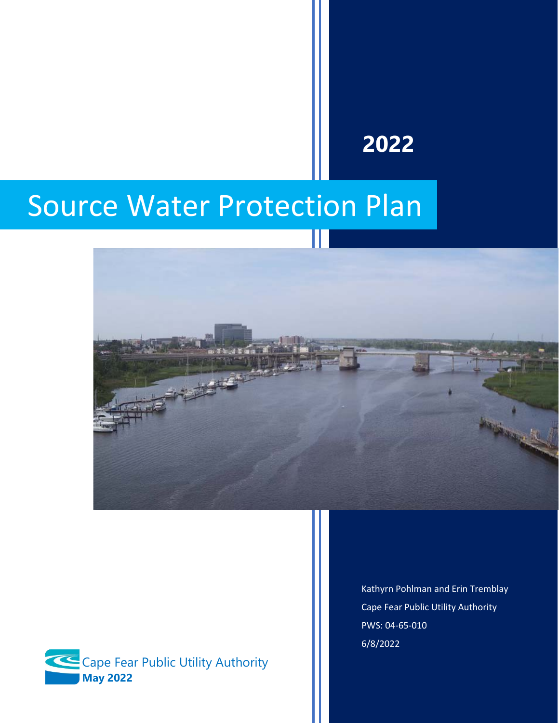## **2022**

# Source Water Protection Plan





Kathyrn Pohlman and Erin Tremblay Cape Fear Public Utility Authority PWS: 04-65-010 6/8/2022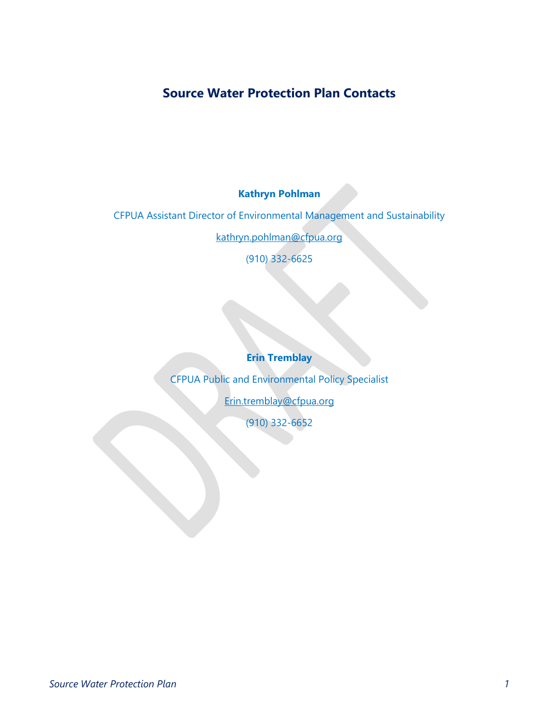## **Source Water Protection Plan Contacts**

**Kathryn Pohlman**

CFPUA Assistant Director of Environmental Management and Sustainability

[kathryn.pohlman@cfpua.org](mailto:kathryn.pohlman@cfpua.org)

(910) 332-6625

**Erin Tremblay**

CFPUA Public and Environmental Policy Specialist [Erin.tremblay@cfpua.org](mailto:Erin.tremblay@cfpua.org) (910) 332-6652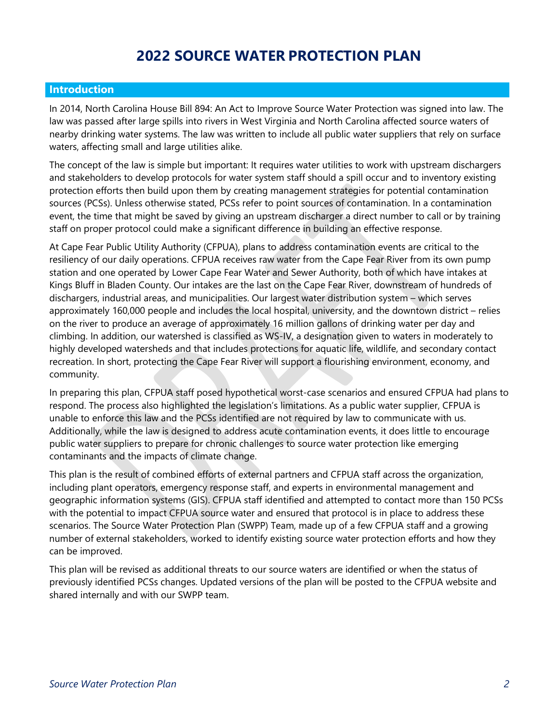## **2022 SOURCE WATER PROTECTION PLAN**

#### **Introduction**

In 2014, North Carolina House Bill 894: An Act to Improve Source Water Protection was signed into law. The law was passed after large spills into rivers in West Virginia and North Carolina affected source waters of nearby drinking water systems. The law was written to include all public water suppliers that rely on surface waters, affecting small and large utilities alike.

The concept of the law is simple but important: It requires water utilities to work with upstream dischargers and stakeholders to develop protocols for water system staff should a spill occur and to inventory existing protection efforts then build upon them by creating management strategies for potential contamination sources (PCSs). Unless otherwise stated, PCSs refer to point sources of contamination. In a contamination event, the time that might be saved by giving an upstream discharger a direct number to call or by training staff on proper protocol could make a significant difference in building an effective response.

At Cape Fear Public Utility Authority (CFPUA), plans to address contamination events are critical to the resiliency of our daily operations. CFPUA receives raw water from the Cape Fear River from its own pump station and one operated by Lower Cape Fear Water and Sewer Authority, both of which have intakes at Kings Bluff in Bladen County. Our intakes are the last on the Cape Fear River, downstream of hundreds of dischargers, industrial areas, and municipalities. Our largest water distribution system – which serves approximately 160,000 people and includes the local hospital, university, and the downtown district – relies on the river to produce an average of approximately 16 million gallons of drinking water per day and climbing. In addition, our watershed is classified as WS-IV, a designation given to waters in moderately to highly developed watersheds and that includes protections for aquatic life, wildlife, and secondary contact recreation. In short, protecting the Cape Fear River will support a flourishing environment, economy, and community.

In preparing this plan, CFPUA staff posed hypothetical worst-case scenarios and ensured CFPUA had plans to respond. The process also highlighted the legislation's limitations. As a public water supplier, CFPUA is unable to enforce this law and the PCSs identified are not required by law to communicate with us. Additionally, while the law is designed to address acute contamination events, it does little to encourage public water suppliers to prepare for chronic challenges to source water protection like emerging contaminants and the impacts of climate change.

This plan is the result of combined efforts of external partners and CFPUA staff across the organization, including plant operators, emergency response staff, and experts in environmental management and geographic information systems (GIS). CFPUA staff identified and attempted to contact more than 150 PCSs with the potential to impact CFPUA source water and ensured that protocol is in place to address these scenarios. The Source Water Protection Plan (SWPP) Team, made up of a few CFPUA staff and a growing number of external stakeholders, worked to identify existing source water protection efforts and how they can be improved.

This plan will be revised as additional threats to our source waters are identified or when the status of previously identified PCSs changes. Updated versions of the plan will be posted to the CFPUA website and shared internally and with our SWPP team.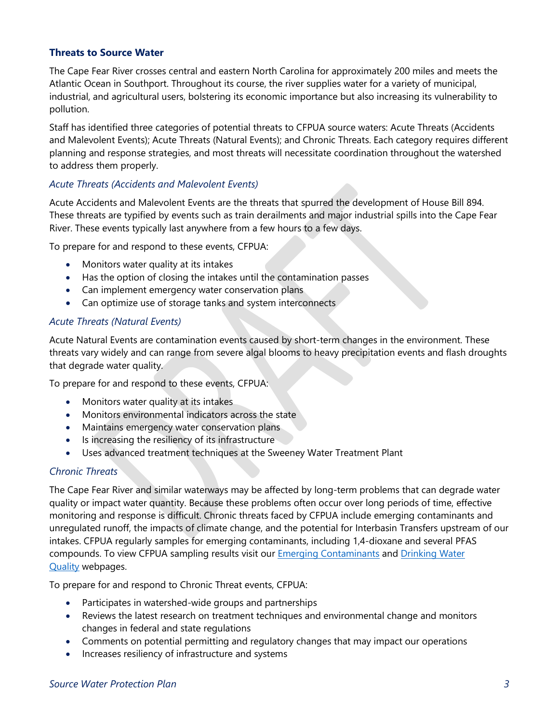#### **Threats to Source Water**

The Cape Fear River crosses central and eastern North Carolina for approximately 200 miles and meets the Atlantic Ocean in Southport. Throughout its course, the river supplies water for a variety of municipal, industrial, and agricultural users, bolstering its economic importance but also increasing its vulnerability to pollution.

Staff has identified three categories of potential threats to CFPUA source waters: Acute Threats (Accidents and Malevolent Events); Acute Threats (Natural Events); and Chronic Threats. Each category requires different planning and response strategies, and most threats will necessitate coordination throughout the watershed to address them properly.

#### *Acute Threats (Accidents and Malevolent Events)*

Acute Accidents and Malevolent Events are the threats that spurred the development of House Bill 894. These threats are typified by events such as train derailments and major industrial spills into the Cape Fear River. These events typically last anywhere from a few hours to a few days.

To prepare for and respond to these events, CFPUA:

- Monitors water quality at its intakes
- Has the option of closing the intakes until the contamination passes
- Can implement emergency water conservation plans
- Can optimize use of storage tanks and system interconnects

#### *Acute Threats (Natural Events)*

Acute Natural Events are contamination events caused by short-term changes in the environment. These threats vary widely and can range from severe algal blooms to heavy precipitation events and flash droughts that degrade water quality.

To prepare for and respond to these events, CFPUA:

- Monitors water quality at its intakes
- Monitors environmental indicators across the state
- Maintains emergency water conservation plans
- Is increasing the resiliency of its infrastructure
- Uses advanced treatment techniques at the Sweeney Water Treatment Plant

#### *Chronic Threats*

The Cape Fear River and similar waterways may be affected by long-term problems that can degrade water quality or impact water quantity. Because these problems often occur over long periods of time, effective monitoring and response is difficult. Chronic threats faced by CFPUA include emerging contaminants and unregulated runoff, the impacts of climate change, and the potential for Interbasin Transfers upstream of our intakes. CFPUA regularly samples for emerging contaminants, including 1,4-dioxane and several PFAS compounds. To view CFPUA sampling results visit our [Emerging Contaminants](https://www.cfpua.org/761/Emerging-Compounds) and [Drinking Water](https://www.cfpua.org/692/Drinking-Water-Quality)  [Quality](https://www.cfpua.org/692/Drinking-Water-Quality) webpages.

To prepare for and respond to Chronic Threat events, CFPUA:

- Participates in watershed-wide groups and partnerships
- Reviews the latest research on treatment techniques and environmental change and monitors changes in federal and state regulations
- Comments on potential permitting and regulatory changes that may impact our operations
- Increases resiliency of infrastructure and systems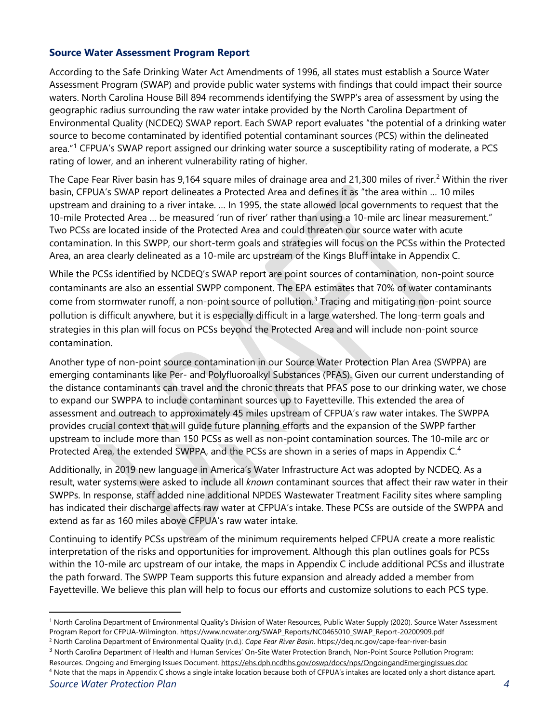#### **Source Water Assessment Program Report**

According to the Safe Drinking Water Act Amendments of 1996, all states must establish a Source Water Assessment Program (SWAP) and provide public water systems with findings that could impact their source waters. North Carolina House Bill 894 recommends identifying the SWPP's area of assessment by using the geographic radius surrounding the raw water intake provided by the North Carolina Department of Environmental Quality (NCDEQ) SWAP report. Each SWAP report evaluates "the potential of a drinking water source to become contaminated by identified potential contaminant sources (PCS) within the delineated area."[1](#page-4-0) CFPUA's SWAP report assigned our drinking water source a susceptibility rating of moderate, a PCS rating of lower, and an inherent vulnerability rating of higher.

The Cape Fear River basin has 9,164 square miles of drainage area and [2](#page-4-1)1,300 miles of river.<sup>2</sup> Within the river basin, CFPUA's SWAP report delineates a Protected Area and defines it as "the area within … 10 miles upstream and draining to a river intake. … In 1995, the state allowed local governments to request that the 10-mile Protected Area … be measured 'run of river' rather than using a 10-mile arc linear measurement." Two PCSs are located inside of the Protected Area and could threaten our source water with acute contamination. In this SWPP, our short-term goals and strategies will focus on the PCSs within the Protected Area, an area clearly delineated as a 10-mile arc upstream of the Kings Bluff intake in Appendix C.

While the PCSs identified by NCDEQ's SWAP report are point sources of contamination, non-point source contaminants are also an essential SWPP component. The EPA estimates that 70% of water contaminants come from stormwater runoff, a non-point source of pollution. [3](#page-4-2) Tracing and mitigating non-point source pollution is difficult anywhere, but it is especially difficult in a large watershed. The long-term goals and strategies in this plan will focus on PCSs beyond the Protected Area and will include non-point source contamination.

Another type of non-point source contamination in our Source Water Protection Plan Area (SWPPA) are emerging contaminants like Per- and Polyfluoroalkyl Substances (PFAS). Given our current understanding of the distance contaminants can travel and the chronic threats that PFAS pose to our drinking water, we chose to expand our SWPPA to include contaminant sources up to Fayetteville. This extended the area of assessment and outreach to approximately 45 miles upstream of CFPUA's raw water intakes. The SWPPA provides crucial context that will guide future planning efforts and the expansion of the SWPP farther upstream to include more than 150 PCSs as well as non-point contamination sources. The 10-mile arc or Protected Area, the extended SWPPA, and the PCSs are shown in a series of maps in Appendix C.<sup>[4](#page-4-3)</sup>

Additionally, in 2019 new language in America's Water Infrastructure Act was adopted by NCDEQ. As a result, water systems were asked to include all *known* contaminant sources that affect their raw water in their SWPPs. In response, staff added nine additional NPDES Wastewater Treatment Facility sites where sampling has indicated their discharge affects raw water at CFPUA's intake. These PCSs are outside of the SWPPA and extend as far as 160 miles above CFPUA's raw water intake.

Continuing to identify PCSs upstream of the minimum requirements helped CFPUA create a more realistic interpretation of the risks and opportunities for improvement. Although this plan outlines goals for PCSs within the 10-mile arc upstream of our intake, the maps in Appendix C include additional PCSs and illustrate the path forward. The SWPP Team supports this future expansion and already added a member from Fayetteville. We believe this plan will help to focus our efforts and customize solutions to each PCS type.

- <span id="page-4-2"></span><sup>3</sup> North Carolina Department of Health and Human Services' On-Site Water Protection Branch, Non-Point Source Pollution Program:
- <span id="page-4-3"></span>Resources. Ongoing and Emerging Issues Document[. https://ehs.dph.ncdhhs.gov/oswp/docs/nps/OngoingandEmergingIssues.doc](https://ehs.dph.ncdhhs.gov/oswp/docs/nps/OngoingandEmergingIssues.doc) <sup>4</sup> Note that the maps in Appendix C shows a single intake location because both of CFPUA's intakes are located only a short distance apart.

<span id="page-4-0"></span><sup>1</sup> North Carolina Department of Environmental Quality's Division of Water Resources, Public Water Supply (2020). Source Water Assessment Program Report for CFPUA-Wilmington. https://www.ncwater.org/SWAP\_Reports/NC0465010\_SWAP\_Report-20200909.pdf

<span id="page-4-1"></span><sup>2</sup> North Carolina Department of Environmental Quality (n.d.). *Cape Fear River Basin*. https://deq.nc.gov/cape-fear-river-basin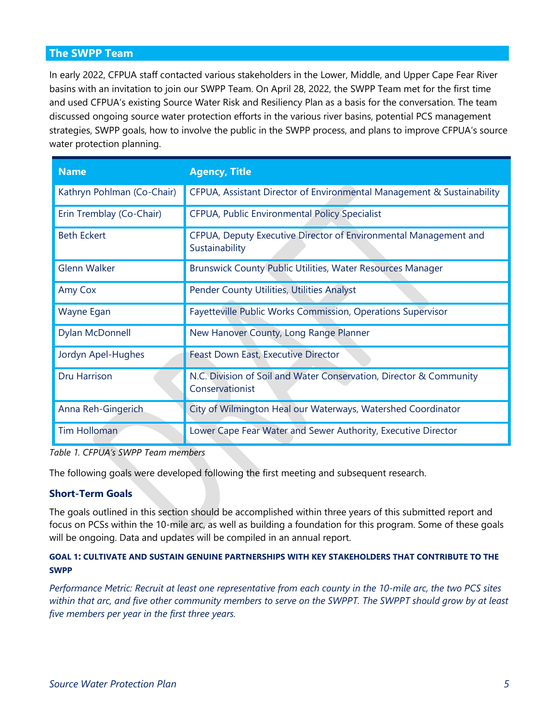#### **The SWPP Team**

In early 2022, CFPUA staff contacted various stakeholders in the Lower, Middle, and Upper Cape Fear River basins with an invitation to join our SWPP Team. On April 28, 2022, the SWPP Team met for the first time and used CFPUA's existing Source Water Risk and Resiliency Plan as a basis for the conversation. The team discussed ongoing source water protection efforts in the various river basins, potential PCS management strategies, SWPP goals, how to involve the public in the SWPP process, and plans to improve CFPUA's source water protection planning.

| <b>Name</b>                | <b>Agency, Title</b>                                                                  |
|----------------------------|---------------------------------------------------------------------------------------|
| Kathryn Pohlman (Co-Chair) | CFPUA, Assistant Director of Environmental Management & Sustainability                |
| Erin Tremblay (Co-Chair)   | CFPUA, Public Environmental Policy Specialist                                         |
| <b>Beth Eckert</b>         | CFPUA, Deputy Executive Director of Environmental Management and<br>Sustainability    |
| <b>Glenn Walker</b>        | Brunswick County Public Utilities, Water Resources Manager                            |
| Amy Cox                    | Pender County Utilities, Utilities Analyst                                            |
| Wayne Egan                 | Fayetteville Public Works Commission, Operations Supervisor                           |
| <b>Dylan McDonnell</b>     | New Hanover County, Long Range Planner                                                |
| Jordyn Apel-Hughes         | Feast Down East, Executive Director                                                   |
| <b>Dru Harrison</b>        | N.C. Division of Soil and Water Conservation, Director & Community<br>Conservationist |
| Anna Reh-Gingerich         | City of Wilmington Heal our Waterways, Watershed Coordinator                          |
| <b>Tim Holloman</b>        | Lower Cape Fear Water and Sewer Authority, Executive Director                         |

*Table 1. CFPUA's SWPP Team members*

The following goals were developed following the first meeting and subsequent research.

#### **Short-Term Goals**

The goals outlined in this section should be accomplished within three years of this submitted report and focus on PCSs within the 10-mile arc, as well as building a foundation for this program. Some of these goals will be ongoing. Data and updates will be compiled in an annual report.

#### **GOAL 1: CULTIVATE AND SUSTAIN GENUINE PARTNERSHIPS WITH KEY STAKEHOLDERS THAT CONTRIBUTE TO THE SWPP**

*Performance Metric: Recruit at least one representative from each county in the 10-mile arc, the two PCS sites within that arc, and five other community members to serve on the SWPPT. The SWPPT should grow by at least five members per year in the first three years.*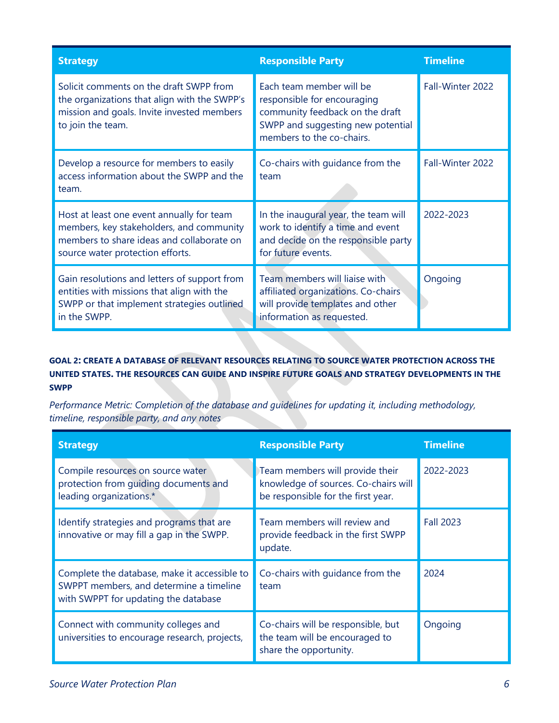| <b>Strategy</b>                                                                                                                                                        | <b>Responsible Party</b>                                                                                                                                     | <b>Timeline</b>  |
|------------------------------------------------------------------------------------------------------------------------------------------------------------------------|--------------------------------------------------------------------------------------------------------------------------------------------------------------|------------------|
| Solicit comments on the draft SWPP from<br>the organizations that align with the SWPP's<br>mission and goals. Invite invested members<br>to join the team.             | Each team member will be<br>responsible for encouraging<br>community feedback on the draft<br>SWPP and suggesting new potential<br>members to the co-chairs. | Fall-Winter 2022 |
| Develop a resource for members to easily<br>access information about the SWPP and the<br>team.                                                                         | Co-chairs with guidance from the<br>team                                                                                                                     | Fall-Winter 2022 |
| Host at least one event annually for team<br>members, key stakeholders, and community<br>members to share ideas and collaborate on<br>source water protection efforts. | In the inaugural year, the team will<br>work to identify a time and event<br>and decide on the responsible party<br>for future events.                       | 2022-2023        |
| Gain resolutions and letters of support from<br>entities with missions that align with the<br>SWPP or that implement strategies outlined<br>in the SWPP.               | Team members will liaise with<br>affiliated organizations. Co-chairs<br>will provide templates and other<br>information as requested.                        | Ongoing          |

#### **GOAL 2: CREATE A DATABASE OF RELEVANT RESOURCES RELATING TO SOURCE WATER PROTECTION ACROSS THE UNITED STATES. THE RESOURCES CAN GUIDE AND INSPIRE FUTURE GOALS AND STRATEGY DEVELOPMENTS IN THE SWPP**

*Performance Metric: Completion of the database and guidelines for updating it, including methodology, timeline, responsible party, and any notes*

| <b>Strategy</b>                                                                                                                 | <b>Responsible Party</b>                                                                                      | <b>Timeline</b>  |
|---------------------------------------------------------------------------------------------------------------------------------|---------------------------------------------------------------------------------------------------------------|------------------|
| Compile resources on source water<br>protection from quiding documents and<br>leading organizations.*                           | Team members will provide their<br>knowledge of sources. Co-chairs will<br>be responsible for the first year. | 2022-2023        |
| Identify strategies and programs that are<br>innovative or may fill a gap in the SWPP.                                          | Team members will review and<br>provide feedback in the first SWPP<br>update.                                 | <b>Fall 2023</b> |
| Complete the database, make it accessible to<br>SWPPT members, and determine a timeline<br>with SWPPT for updating the database | Co-chairs with quidance from the<br>team                                                                      | 2024             |
| Connect with community colleges and<br>universities to encourage research, projects,                                            | Co-chairs will be responsible, but<br>the team will be encouraged to<br>share the opportunity.                | Ongoing          |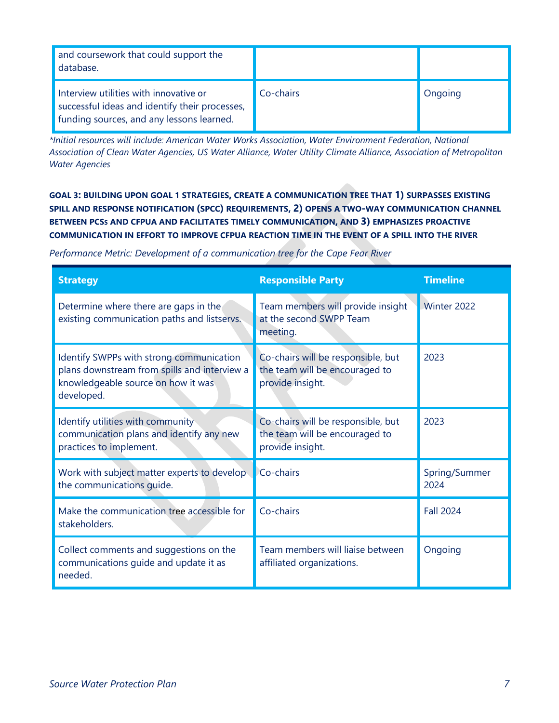| and coursework that could support the<br>database.                                                                                      |           |         |
|-----------------------------------------------------------------------------------------------------------------------------------------|-----------|---------|
| Interview utilities with innovative or<br>successful ideas and identify their processes,<br>I funding sources, and any lessons learned. | Co-chairs | Ongoing |

*\*Initial resources will include: [American Water Works Association,](https://www.awwa.org/) [Water Environment Federation,](https://www.wef.org/?gclid=Cj0KCQjwma6TBhDIARIsAOKuANxK19EERSgeG3dmtBbpHJwpvKq6tSbHfzsNw_rbFI7ECAOLiCMXL5UaAtKQEALw_wcB) [National](https://www.nacwa.org/)  [Association of Clean Water Agencies,](https://www.nacwa.org/) [US Water Alliance,](http://uswateralliance.org/one-water/us-water-prize) [Water Utility Climate Alliance,](https://www.wucaonline.org/) [Association of Metropolitan](https://www.amwa.net/)  [Water Agencies](https://www.amwa.net/)*

**GOAL 3: BUILDING UPON GOAL 1 STRATEGIES, CREATE A COMMUNICATION TREE THAT 1) SURPASSES EXISTING SPILL AND RESPONSE NOTIFICATION (SPCC) REQUIREMENTS, 2) OPENS A TWO-WAY COMMUNICATION CHANNEL BETWEEN PCSS AND CFPUA AND FACILITATES TIMELY COMMUNICATION, AND 3) EMPHASIZES PROACTIVE COMMUNICATION IN EFFORT TO IMPROVE CFPUA REACTION TIME IN THE EVENT OF A SPILL INTO THE RIVER**

*Performance Metric: Development of a communication tree for the Cape Fear River*

| <b>Strategy</b>                                                                                                                              | <b>Responsible Party</b>                                                                 | <b>Timeline</b>       |
|----------------------------------------------------------------------------------------------------------------------------------------------|------------------------------------------------------------------------------------------|-----------------------|
| Determine where there are gaps in the<br>existing communication paths and listservs.                                                         | Team members will provide insight<br>at the second SWPP Team<br>meeting.                 | Winter 2022           |
| Identify SWPPs with strong communication<br>plans downstream from spills and interview a<br>knowledgeable source on how it was<br>developed. | Co-chairs will be responsible, but<br>the team will be encouraged to<br>provide insight. | 2023                  |
| Identify utilities with community<br>communication plans and identify any new<br>practices to implement.                                     | Co-chairs will be responsible, but<br>the team will be encouraged to<br>provide insight. | 2023                  |
| Work with subject matter experts to develop<br>the communications quide.                                                                     | Co-chairs                                                                                | Spring/Summer<br>2024 |
| Make the communication tree accessible for<br>stakeholders.                                                                                  | Co-chairs                                                                                | <b>Fall 2024</b>      |
| Collect comments and suggestions on the<br>communications quide and update it as<br>needed.                                                  | Team members will liaise between<br>affiliated organizations.                            | Ongoing               |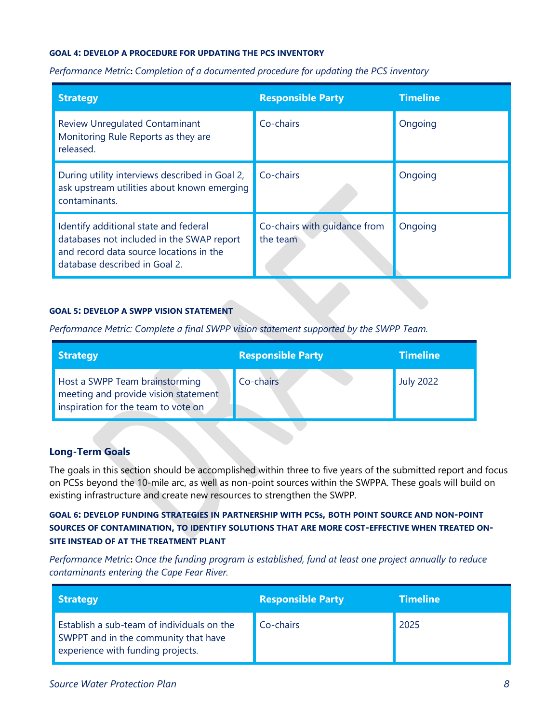#### **GOAL 4: DEVELOP A PROCEDURE FOR UPDATING THE PCS INVENTORY**

*Performance Metric***:** *Completion of a documented procedure for updating the PCS inventory*

| <b>Strategy</b>                                                                                                                                                | <b>Responsible Party</b>                 | <b>Timeline</b> |
|----------------------------------------------------------------------------------------------------------------------------------------------------------------|------------------------------------------|-----------------|
| <b>Review Unregulated Contaminant</b><br>Monitoring Rule Reports as they are<br>released.                                                                      | Co-chairs                                | Ongoing         |
| During utility interviews described in Goal 2,<br>ask upstream utilities about known emerging<br>contaminants.                                                 | Co-chairs                                | Ongoing         |
| Identify additional state and federal<br>databases not included in the SWAP report<br>and record data source locations in the<br>database described in Goal 2. | Co-chairs with quidance from<br>the team | Ongoing         |

#### **GOAL 5: DEVELOP A SWPP VISION STATEMENT**

*Performance Metric: Complete a final SWPP vision statement supported by the SWPP Team.*

| <b>Strategy</b>                                                                                               | <b>Responsible Party</b> | <b>Timeline</b>  |
|---------------------------------------------------------------------------------------------------------------|--------------------------|------------------|
| Host a SWPP Team brainstorming<br>meeting and provide vision statement<br>inspiration for the team to vote on | Co-chairs                | <b>July 2022</b> |

#### **Long-Term Goals**

The goals in this section should be accomplished within three to five years of the submitted report and focus on PCSs beyond the 10-mile arc, as well as non-point sources within the SWPPA. These goals will build on existing infrastructure and create new resources to strengthen the SWPP.

#### **GOAL 6: DEVELOP FUNDING STRATEGIES IN PARTNERSHIP WITH PCSs, BOTH POINT SOURCE AND NON-POINT SOURCES OF CONTAMINATION, TO IDENTIFY SOLUTIONS THAT ARE MORE COST-EFFECTIVE WHEN TREATED ON-SITE INSTEAD OF AT THE TREATMENT PLANT**

*Performance Metric***:** *Once the funding program is established, fund at least one project annually to reduce contaminants entering the Cape Fear River.*

| <b>Strategy</b>                                                                                                         | <b>Responsible Party</b> | <b>Timeline</b> |
|-------------------------------------------------------------------------------------------------------------------------|--------------------------|-----------------|
| Establish a sub-team of individuals on the<br>SWPPT and in the community that have<br>experience with funding projects. | Co-chairs                | 2025            |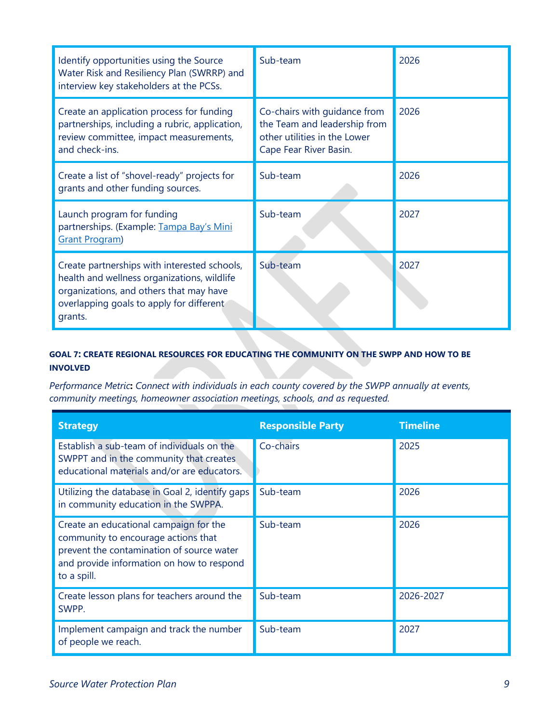| Identify opportunities using the Source<br>Water Risk and Resiliency Plan (SWRRP) and<br>interview key stakeholders at the PCSs.                                                              | Sub-team                                                                                                               | 2026 |
|-----------------------------------------------------------------------------------------------------------------------------------------------------------------------------------------------|------------------------------------------------------------------------------------------------------------------------|------|
| Create an application process for funding<br>partnerships, including a rubric, application,<br>review committee, impact measurements,<br>and check-ins.                                       | Co-chairs with quidance from<br>the Team and leadership from<br>other utilities in the Lower<br>Cape Fear River Basin. | 2026 |
| Create a list of "shovel-ready" projects for<br>grants and other funding sources.                                                                                                             | Sub-team                                                                                                               | 2026 |
| Launch program for funding<br>partnerships. (Example: Tampa Bay's Mini<br><b>Grant Program</b> )                                                                                              | Sub-team                                                                                                               | 2027 |
| Create partnerships with interested schools,<br>health and wellness organizations, wildlife<br>organizations, and others that may have<br>overlapping goals to apply for different<br>grants. | Sub-team                                                                                                               | 2027 |

#### **GOAL 7: CREATE REGIONAL RESOURCES FOR EDUCATING THE COMMUNITY ON THE SWPP AND HOW TO BE INVOLVED**

*Performance Metric***:** *Connect with individuals in each county covered by the SWPP annually at events, community meetings, homeowner association meetings, schools, and as requested.*

| <b>Strategy</b>                                                                                                                                                                        | <b>Responsible Party</b> | <b>Timeline</b> |
|----------------------------------------------------------------------------------------------------------------------------------------------------------------------------------------|--------------------------|-----------------|
| Establish a sub-team of individuals on the<br>SWPPT and in the community that creates<br>educational materials and/or are educators.                                                   | Co-chairs                | 2025            |
| Utilizing the database in Goal 2, identify gaps<br>in community education in the SWPPA.                                                                                                | Sub-team                 | 2026            |
| Create an educational campaign for the<br>community to encourage actions that<br>prevent the contamination of source water<br>and provide information on how to respond<br>to a spill. | Sub-team                 | 2026            |
| Create lesson plans for teachers around the<br>SWPP.                                                                                                                                   | Sub-team                 | 2026-2027       |
| Implement campaign and track the number<br>of people we reach.                                                                                                                         | Sub-team                 | 2027            |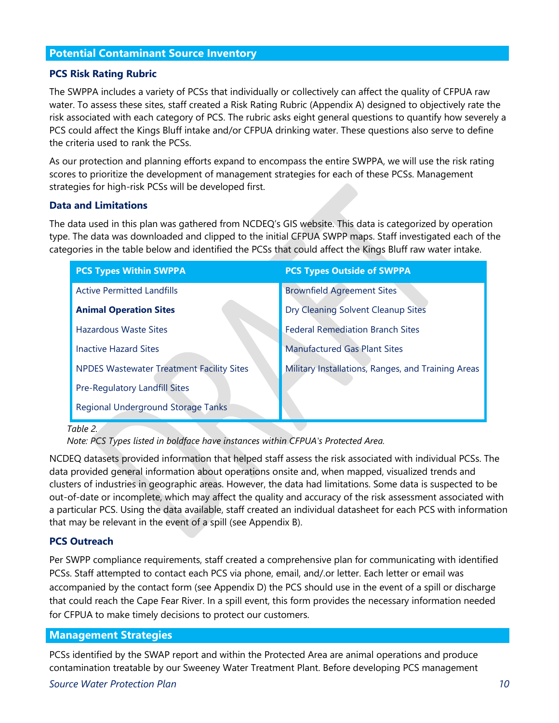#### **Potential Contaminant Source Inventory**

#### **PCS Risk Rating Rubric**

The SWPPA includes a variety of PCSs that individually or collectively can affect the quality of CFPUA raw water. To assess these sites, staff created a Risk Rating Rubric (Appendix A) designed to objectively rate the risk associated with each category of PCS. The rubric asks eight general questions to quantify how severely a PCS could affect the Kings Bluff intake and/or CFPUA drinking water. These questions also serve to define the criteria used to rank the PCSs.

As our protection and planning efforts expand to encompass the entire SWPPA, we will use the risk rating scores to prioritize the development of management strategies for each of these PCSs. Management strategies for high-risk PCSs will be developed first.

#### **Data and Limitations**

The data used in this plan was gathered from NCDEQ's GIS website. This data is categorized by operation type. The data was downloaded and clipped to the initial CFPUA SWPP maps. Staff investigated each of the categories in the table below and identified the PCSs that could affect the Kings Bluff raw water intake.

| <b>PCS Types Within SWPPA</b>                    | <b>PCS Types Outside of SWPPA</b>                  |
|--------------------------------------------------|----------------------------------------------------|
| <b>Active Permitted Landfills</b>                | <b>Brownfield Agreement Sites</b>                  |
| <b>Animal Operation Sites</b>                    | Dry Cleaning Solvent Cleanup Sites                 |
| <b>Hazardous Waste Sites</b>                     | <b>Federal Remediation Branch Sites</b>            |
| <b>Inactive Hazard Sites</b>                     | <b>Manufactured Gas Plant Sites</b>                |
| <b>NPDES Wastewater Treatment Facility Sites</b> | Military Installations, Ranges, and Training Areas |
| Pre-Regulatory Landfill Sites                    |                                                    |
| Regional Underground Storage Tanks               |                                                    |

 *Table 2.* 

NCDEQ datasets provided information that helped staff assess the risk associated with individual PCSs. The data provided general information about operations onsite and, when mapped, visualized trends and clusters of industries in geographic areas. However, the data had limitations. Some data is suspected to be out-of-date or incomplete, which may affect the quality and accuracy of the risk assessment associated with a particular PCS. Using the data available, staff created an individual datasheet for each PCS with information that may be relevant in the event of a spill (see Appendix B).

#### **PCS Outreach**

Per SWPP compliance requirements, staff created a comprehensive plan for communicating with identified PCSs. Staff attempted to contact each PCS via phone, email, and/.or letter. Each letter or email was accompanied by the contact form (see Appendix D) the PCS should use in the event of a spill or discharge that could reach the Cape Fear River. In a spill event, this form provides the necessary information needed for CFPUA to make timely decisions to protect our customers.

#### **Management Strategies**

PCSs identified by the SWAP report and within the Protected Area are animal operations and produce contamination treatable by our Sweeney Water Treatment Plant. Before developing PCS management

*Note: PCS Types listed in boldface have instances within CFPUA's Protected Area.*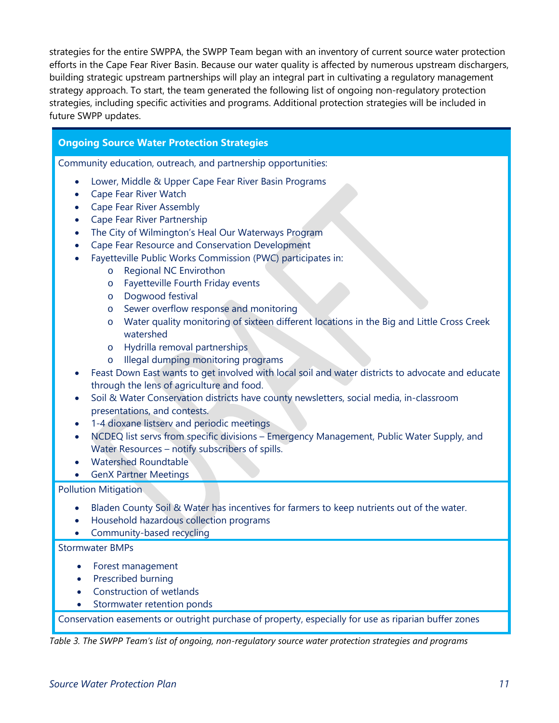strategies for the entire SWPPA, the SWPP Team began with an inventory of current source water protection efforts in the Cape Fear River Basin. Because our water quality is affected by numerous upstream dischargers, building strategic upstream partnerships will play an integral part in cultivating a regulatory management strategy approach. To start, the team generated the following list of ongoing non-regulatory protection strategies, including specific activities and programs. Additional protection strategies will be included in future SWPP updates.

#### **Ongoing Source Water Protection Strategies**

Community education, outreach, and partnership opportunities:

- Lower, Middle & Upper Cape Fear River Basin Programs
- Cape Fear River Watch
- Cape Fear River Assembly
- Cape Fear River Partnership
- The City of Wilmington's Heal Our Waterways Program
- Cape Fear Resource and Conservation Development
- Fayetteville Public Works Commission (PWC) participates in:
	- o Regional NC Envirothon
	- o Fayetteville Fourth Friday events
	- o Dogwood festival
	- o Sewer overflow response and monitoring
	- o Water quality monitoring of sixteen different locations in the Big and Little Cross Creek watershed
	- o Hydrilla removal partnerships
	- o Illegal dumping monitoring programs
- Feast Down East wants to get involved with local soil and water districts to advocate and educate through the lens of agriculture and food.
- Soil & Water Conservation districts have county newsletters, social media, in-classroom presentations, and contests.
- 1-4 dioxane listserv and periodic meetings
- NCDEQ list servs from specific divisions Emergency Management, Public Water Supply, and Water Resources – notify subscribers of spills.
- Watershed Roundtable
- GenX Partner Meetings

#### Pollution Mitigation

- Bladen County Soil & Water has incentives for farmers to keep nutrients out of the water.
- Household hazardous collection programs
- Community-based recycling

#### Stormwater BMPs

- Forest management
- Prescribed burning
- Construction of wetlands
- Stormwater retention ponds

Conservation easements or outright purchase of property, especially for use as riparian buffer zones

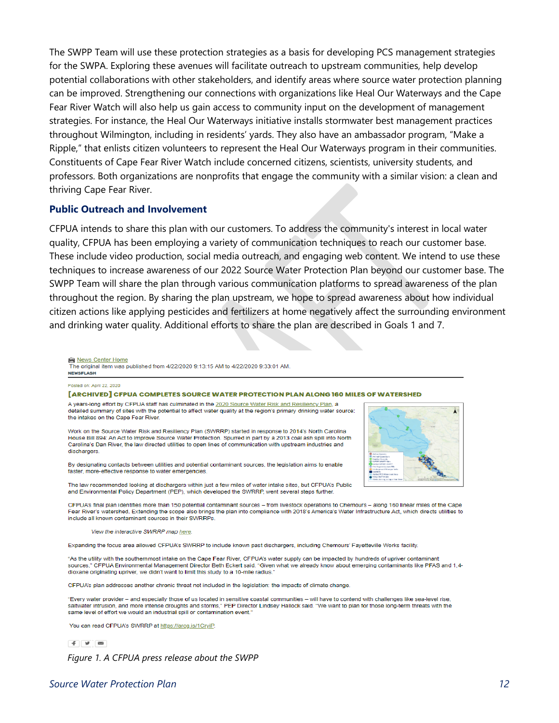The SWPP Team will use these protection strategies as a basis for developing PCS management strategies for the SWPA. Exploring these avenues will facilitate outreach to upstream communities, help develop potential collaborations with other stakeholders, and identify areas where source water protection planning can be improved. Strengthening our connections with organizations like Heal Our Waterways and the Cape Fear River Watch will also help us gain access to community input on the development of management strategies. For instance, the Heal Our Waterways initiative installs stormwater best management practices throughout Wilmington, including in residents' yards. They also have an ambassador program, "Make a Ripple," that enlists citizen volunteers to represent the Heal Our Waterways program in their communities. Constituents of Cape Fear River Watch include concerned citizens, scientists, university students, and professors. Both organizations are nonprofits that engage the community with a similar vision: a clean and thriving Cape Fear River.

#### **Public Outreach and Involvement**

CFPUA intends to share this plan with our customers. To address the community's interest in local water quality, CFPUA has been employing a variety of communication techniques to reach our customer base. These include video production, social media outreach, and engaging web content. We intend to use these techniques to increase awareness of our 2022 Source Water Protection Plan beyond our customer base. The SWPP Team will share the plan through various communication platforms to spread awareness of the plan throughout the region. By sharing the plan upstream, we hope to spread awareness about how individual citizen actions like applying pesticides and fertilizers at home negatively affect the surrounding environment and drinking water quality. Additional efforts to share the plan are described in Goals 1 and 7.

News Center Home The original item was published from 4/22/2020 9:13:15 AM to 4/22/2020 9:33:01 AM. **NEWSFLASH** 

#### Posted on: April 22, 2020

**FARCHIVED CEPUA COMPLETES SOURCE WATER PROTECTION PLAN ALONG 160 MILES OF WATERSHED** 

A years-long effort by CFPUA staff has culminated in the 2020 Source Water Risk and Resiliency Plan, a detailed summary of sites with the potential to affect water quality at the region's primary drinking water source: the intakes on the Cape Fear River.

Work on the Source Water Risk and Resiliency Plan (SWRRP) started in response to 2014's North Carolina House Bill 894: An Act to Improve Source Water Protection. Spurred in part by a 2013 coal ash spill into North Carolina's Dan River, the law directed utilities to open lines of communication with upstream industries and dischargers.

By designating contacts between utilities and potential contaminant sources, the legislation aims to enable faster, more-effective response to water emergencies.

The law recommended looking at dischargers within just a few miles of water intake sites, but CFPUA's Public and Environmental Policy Department (PEP), which developed the SWRRP, went several steps further

CFPUA's final plan identifies more than 150 potential contaminant sources - from livestock operations to Chemours - along 160 linear miles of the Cape Fear River's watershed. Extending the scope also brings the plan into compliance with 2018's America's Water Infrastructure Act, which directs utilities to include all known contaminant sources in their SWRRPs.

View the interactive SWRRP map here

Expanding the focus area allowed CFPUA's SWRRP to include known past dischargers, including Chemours' Fayetteville Works facility.

"As the utility with the southernmost intake on the Cape Fear River, CFPUA's water supply can be impacted by hundreds of upriver contaminant sources," CFPUA Environmental Management Director Beth Eckert said. "Given what we already know about emerging contaminants like PFAS and 1,4dioxane originating upriver, we didn't want to limit this study to a 10-mile radius.

CFPUA's plan addresses another chronic threat not included in the legislation: the impacts of climate change

"Every water provider - and especially those of us located in sensitive coastal communities - will have to contend with challenges like sea-level rise, saltwater intrusion, and more intense droughts and storms," PEP Director Lindsey Hallock said. "We want to plan for those long-term threats with the same level of effort we would an industrial spill or contamination event.

You can read CFPUA's SWRRP at https://arcg.is/1CryiP.

 $f \times$ 

*Figure 1. A CFPUA press release about the SWPP* 

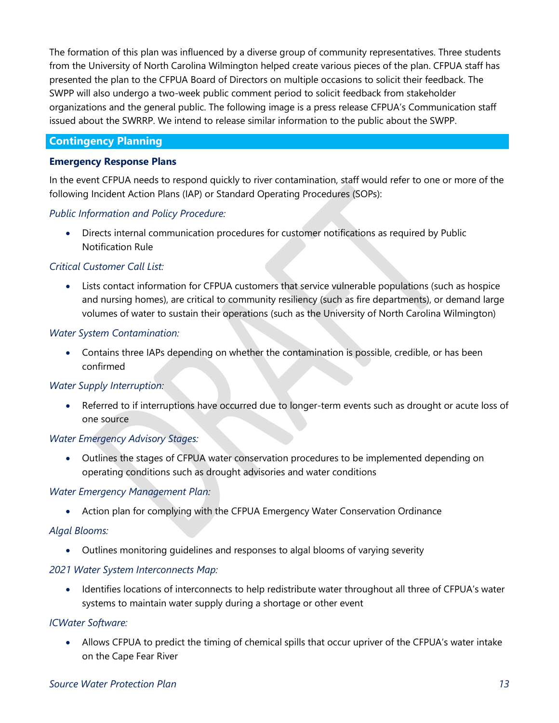The formation of this plan was influenced by a diverse group of community representatives. Three students from the University of North Carolina Wilmington helped create various pieces of the plan. CFPUA staff has presented the plan to the CFPUA Board of Directors on multiple occasions to solicit their feedback. The SWPP will also undergo a two-week public comment period to solicit feedback from stakeholder organizations and the general public. The following image is a press release CFPUA's Communication staff issued about the SWRRP. We intend to release similar information to the public about the SWPP.

#### **Contingency Planning**

#### **Emergency Response Plans**

In the event CFPUA needs to respond quickly to river contamination, staff would refer to one or more of the following Incident Action Plans (IAP) or Standard Operating Procedures (SOPs):

#### *Public Information and Policy Procedure:*

• Directs internal communication procedures for customer notifications as required by Public Notification Rule

#### *Critical Customer Call List:*

• Lists contact information for CFPUA customers that service vulnerable populations (such as hospice and nursing homes), are critical to community resiliency (such as fire departments), or demand large volumes of water to sustain their operations (such as the University of North Carolina Wilmington)

#### *Water System Contamination:*

• Contains three IAPs depending on whether the contamination is possible, credible, or has been confirmed

#### *Water Supply Interruption:*

• Referred to if interruptions have occurred due to longer-term events such as drought or acute loss of one source

#### *Water Emergency Advisory Stages:*

• Outlines the stages of CFPUA water conservation procedures to be implemented depending on operating conditions such as drought advisories and water conditions

#### *Water Emergency Management Plan:*

• Action plan for complying with the CFPUA Emergency Water Conservation Ordinance

#### *Algal Blooms:*

• Outlines monitoring guidelines and responses to algal blooms of varying severity

#### *2021 Water System Interconnects Map:*

• Identifies locations of interconnects to help redistribute water throughout all three of CFPUA's water systems to maintain water supply during a shortage or other event

#### *ICWater Software:*

• Allows CFPUA to predict the timing of chemical spills that occur upriver of the CFPUA's water intake on the Cape Fear River

#### *Source Water Protection Plan 13*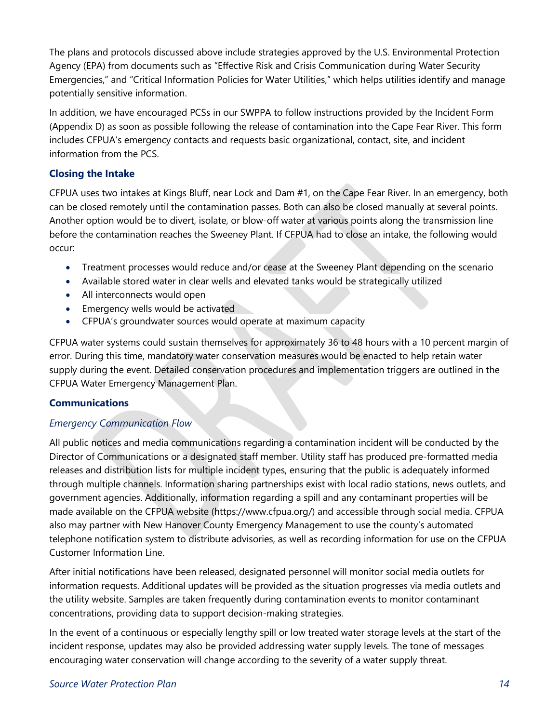The plans and protocols discussed above include strategies approved by the U.S. Environmental Protection Agency (EPA) from documents such as "Effective Risk and Crisis Communication during Water Security Emergencies," and "Critical Information Policies for Water Utilities," which helps utilities identify and manage potentially sensitive information.

In addition, we have encouraged PCSs in our SWPPA to follow instructions provided by the Incident Form (Appendix D) as soon as possible following the release of contamination into the Cape Fear River. This form includes CFPUA's emergency contacts and requests basic organizational, contact, site, and incident information from the PCS.

#### **Closing the Intake**

CFPUA uses two intakes at Kings Bluff, near Lock and Dam #1, on the Cape Fear River. In an emergency, both can be closed remotely until the contamination passes. Both can also be closed manually at several points. Another option would be to divert, isolate, or blow-off water at various points along the transmission line before the contamination reaches the Sweeney Plant. If CFPUA had to close an intake, the following would occur:

- Treatment processes would reduce and/or cease at the Sweeney Plant depending on the scenario
- Available stored water in clear wells and elevated tanks would be strategically utilized
- All interconnects would open
- Emergency wells would be activated
- CFPUA's groundwater sources would operate at maximum capacity

CFPUA water systems could sustain themselves for approximately 36 to 48 hours with a 10 percent margin of error. During this time, mandatory water conservation measures would be enacted to help retain water supply during the event. Detailed conservation procedures and implementation triggers are outlined in the CFPUA Water Emergency Management Plan.

#### **Communications**

#### *Emergency Communication Flow*

All public notices and media communications regarding a contamination incident will be conducted by the Director of Communications or a designated staff member. Utility staff has produced pre-formatted media releases and distribution lists for multiple incident types, ensuring that the public is adequately informed through multiple channels. Information sharing partnerships exist with local radio stations, news outlets, and government agencies. Additionally, information regarding a spill and any contaminant properties will be made available on the CFPUA website (https://www.cfpua.org/) and accessible through social media. CFPUA also may partner with New Hanover County Emergency Management to use the county's automated telephone notification system to distribute advisories, as well as recording information for use on the CFPUA Customer Information Line.

After initial notifications have been released, designated personnel will monitor social media outlets for information requests. Additional updates will be provided as the situation progresses via media outlets and the utility website. Samples are taken frequently during contamination events to monitor contaminant concentrations, providing data to support decision-making strategies.

In the event of a continuous or especially lengthy spill or low treated water storage levels at the start of the incident response, updates may also be provided addressing water supply levels. The tone of messages encouraging water conservation will change according to the severity of a water supply threat.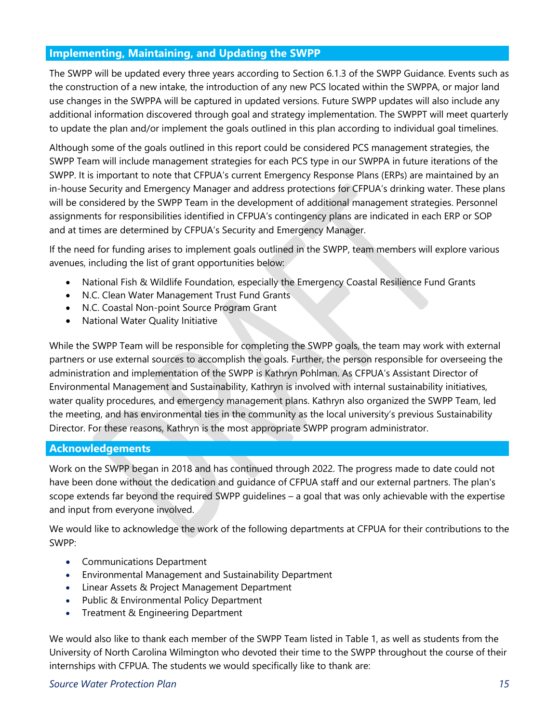#### **Implementing, Maintaining, and Updating the SWPP**

The SWPP will be updated every three years according to Section 6.1.3 of the SWPP Guidance. Events such as the construction of a new intake, the introduction of any new PCS located within the SWPPA, or major land use changes in the SWPPA will be captured in updated versions. Future SWPP updates will also include any additional information discovered through goal and strategy implementation. The SWPPT will meet quarterly to update the plan and/or implement the goals outlined in this plan according to individual goal timelines.

Although some of the goals outlined in this report could be considered PCS management strategies, the SWPP Team will include management strategies for each PCS type in our SWPPA in future iterations of the SWPP. It is important to note that CFPUA's current Emergency Response Plans (ERPs) are maintained by an in-house Security and Emergency Manager and address protections for CFPUA's drinking water. These plans will be considered by the SWPP Team in the development of additional management strategies. Personnel assignments for responsibilities identified in CFPUA's contingency plans are indicated in each ERP or SOP and at times are determined by CFPUA's Security and Emergency Manager.

If the need for funding arises to implement goals outlined in the SWPP, team members will explore various avenues, including the list of grant opportunities below:

- National Fish & Wildlife Foundation, especially the Emergency Coastal Resilience Fund Grants
- N.C. Clean Water Management Trust Fund Grants
- N.C. Coastal Non-point Source Program Grant
- National Water Quality Initiative

While the SWPP Team will be responsible for completing the SWPP goals, the team may work with external partners or use external sources to accomplish the goals. Further, the person responsible for overseeing the administration and implementation of the SWPP is Kathryn Pohlman. As CFPUA's Assistant Director of Environmental Management and Sustainability, Kathryn is involved with internal sustainability initiatives, water quality procedures, and emergency management plans. Kathryn also organized the SWPP Team, led the meeting, and has environmental ties in the community as the local university's previous Sustainability Director. For these reasons, Kathryn is the most appropriate SWPP program administrator.

#### **Acknowledgements**

Work on the SWPP began in 2018 and has continued through 2022. The progress made to date could not have been done without the dedication and guidance of CFPUA staff and our external partners. The plan's scope extends far beyond the required SWPP guidelines – a goal that was only achievable with the expertise and input from everyone involved.

We would like to acknowledge the work of the following departments at CFPUA for their contributions to the SWPP:

- Communications Department
- Environmental Management and Sustainability Department
- Linear Assets & Project Management Department
- Public & Environmental Policy Department
- Treatment & Engineering Department

We would also like to thank each member of the SWPP Team listed in Table 1, as well as students from the University of North Carolina Wilmington who devoted their time to the SWPP throughout the course of their internships with CFPUA. The students we would specifically like to thank are:

#### *Source Water Protection Plan 15*